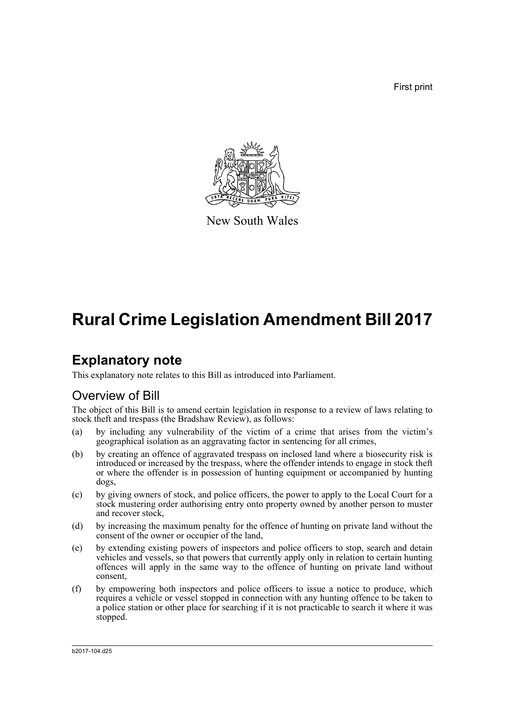First print



New South Wales

# **Rural Crime Legislation Amendment Bill 2017**

## **Explanatory note**

This explanatory note relates to this Bill as introduced into Parliament.

### Overview of Bill

The object of this Bill is to amend certain legislation in response to a review of laws relating to stock theft and trespass (the Bradshaw Review), as follows:

- (a) by including any vulnerability of the victim of a crime that arises from the victim's geographical isolation as an aggravating factor in sentencing for all crimes,
- (b) by creating an offence of aggravated trespass on inclosed land where a biosecurity risk is introduced or increased by the trespass, where the offender intends to engage in stock theft or where the offender is in possession of hunting equipment or accompanied by hunting dogs,
- (c) by giving owners of stock, and police officers, the power to apply to the Local Court for a stock mustering order authorising entry onto property owned by another person to muster and recover stock,
- (d) by increasing the maximum penalty for the offence of hunting on private land without the consent of the owner or occupier of the land,
- (e) by extending existing powers of inspectors and police officers to stop, search and detain vehicles and vessels, so that powers that currently apply only in relation to certain hunting offences will apply in the same way to the offence of hunting on private land without consent,
- (f) by empowering both inspectors and police officers to issue a notice to produce, which requires a vehicle or vessel stopped in connection with any hunting offence to be taken to a police station or other place for searching if it is not practicable to search it where it was stopped.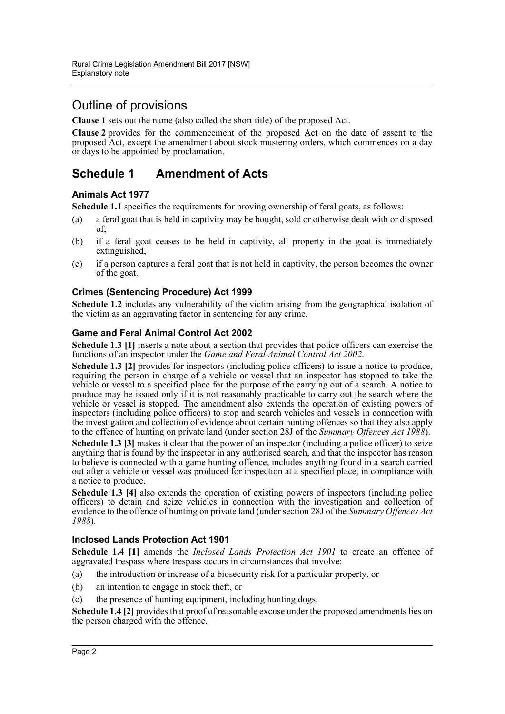## Outline of provisions

**Clause 1** sets out the name (also called the short title) of the proposed Act.

**Clause 2** provides for the commencement of the proposed Act on the date of assent to the proposed Act, except the amendment about stock mustering orders, which commences on a day or days to be appointed by proclamation.

### **Schedule 1 Amendment of Acts**

#### **Animals Act 1977**

**Schedule 1.1** specifies the requirements for proving ownership of feral goats, as follows:

- (a) a feral goat that is held in captivity may be bought, sold or otherwise dealt with or disposed of,
- (b) if a feral goat ceases to be held in captivity, all property in the goat is immediately extinguished,
- (c) if a person captures a feral goat that is not held in captivity, the person becomes the owner of the goat.

#### **Crimes (Sentencing Procedure) Act 1999**

**Schedule 1.2** includes any vulnerability of the victim arising from the geographical isolation of the victim as an aggravating factor in sentencing for any crime.

#### **Game and Feral Animal Control Act 2002**

**Schedule 1.3 [1]** inserts a note about a section that provides that police officers can exercise the functions of an inspector under the *Game and Feral Animal Control Act 2002*.

**Schedule 1.3 [2]** provides for inspectors (including police officers) to issue a notice to produce, requiring the person in charge of a vehicle or vessel that an inspector has stopped to take the vehicle or vessel to a specified place for the purpose of the carrying out of a search. A notice to produce may be issued only if it is not reasonably practicable to carry out the search where the vehicle or vessel is stopped. The amendment also extends the operation of existing powers of inspectors (including police officers) to stop and search vehicles and vessels in connection with the investigation and collection of evidence about certain hunting offences so that they also apply to the offence of hunting on private land (under section 28J of the *Summary Offences Act 1988*).

**Schedule 1.3 [3]** makes it clear that the power of an inspector (including a police officer) to seize anything that is found by the inspector in any authorised search, and that the inspector has reason to believe is connected with a game hunting offence, includes anything found in a search carried out after a vehicle or vessel was produced for inspection at a specified place, in compliance with a notice to produce.

**Schedule 1.3 [4]** also extends the operation of existing powers of inspectors (including police officers) to detain and seize vehicles in connection with the investigation and collection of evidence to the offence of hunting on private land (under section 28J of the *Summary Offences Act 1988*).

#### **Inclosed Lands Protection Act 1901**

**Schedule 1.4 [1]** amends the *Inclosed Lands Protection Act 1901* to create an offence of aggravated trespass where trespass occurs in circumstances that involve:

- (a) the introduction or increase of a biosecurity risk for a particular property, or
- (b) an intention to engage in stock theft, or
- (c) the presence of hunting equipment, including hunting dogs.

**Schedule 1.4 [2]** provides that proof of reasonable excuse under the proposed amendments lies on the person charged with the offence.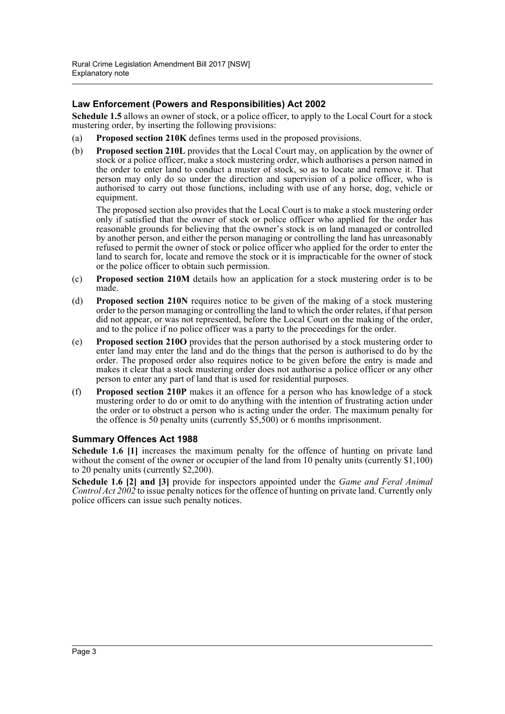#### **Law Enforcement (Powers and Responsibilities) Act 2002**

**Schedule 1.5** allows an owner of stock, or a police officer, to apply to the Local Court for a stock mustering order, by inserting the following provisions:

- (a) **Proposed section 210K** defines terms used in the proposed provisions.
- (b) **Proposed section 210L** provides that the Local Court may, on application by the owner of stock or a police officer, make a stock mustering order, which authorises a person named in the order to enter land to conduct a muster of stock, so as to locate and remove it. That person may only do so under the direction and supervision of a police officer, who is authorised to carry out those functions, including with use of any horse, dog, vehicle or equipment.

The proposed section also provides that the Local Court is to make a stock mustering order only if satisfied that the owner of stock or police officer who applied for the order has reasonable grounds for believing that the owner's stock is on land managed or controlled by another person, and either the person managing or controlling the land has unreasonably refused to permit the owner of stock or police officer who applied for the order to enter the land to search for, locate and remove the stock or it is impracticable for the owner of stock or the police officer to obtain such permission.

- (c) **Proposed section 210M** details how an application for a stock mustering order is to be made.
- (d) **Proposed section 210N** requires notice to be given of the making of a stock mustering order to the person managing or controlling the land to which the order relates, if that person did not appear, or was not represented, before the Local Court on the making of the order, and to the police if no police officer was a party to the proceedings for the order.
- (e) **Proposed section 210O** provides that the person authorised by a stock mustering order to enter land may enter the land and do the things that the person is authorised to do by the order. The proposed order also requires notice to be given before the entry is made and makes it clear that a stock mustering order does not authorise a police officer or any other person to enter any part of land that is used for residential purposes.
- (f) **Proposed section 210P** makes it an offence for a person who has knowledge of a stock mustering order to do or omit to do anything with the intention of frustrating action under the order or to obstruct a person who is acting under the order. The maximum penalty for the offence is 50 penalty units (currently \$5,500) or 6 months imprisonment.

#### **Summary Offences Act 1988**

**Schedule 1.6 [1]** increases the maximum penalty for the offence of hunting on private land without the consent of the owner or occupier of the land from 10 penalty units (currently \$1,100) to 20 penalty units (currently \$2,200).

**Schedule 1.6 [2] and [3]** provide for inspectors appointed under the *Game and Feral Animal Control Act 2002* to issue penalty notices for the offence of hunting on private land. Currently only police officers can issue such penalty notices.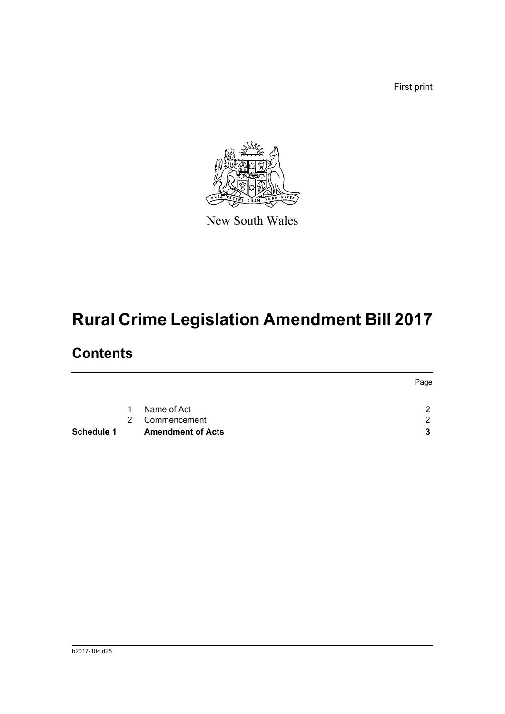First print



New South Wales

# **Rural Crime Legislation Amendment Bill 2017**

## **Contents**

|                   |               |                          | Page |  |
|-------------------|---------------|--------------------------|------|--|
|                   | 1             | Name of Act              | C    |  |
|                   | $\mathcal{P}$ | Commencement             | 2    |  |
| <b>Schedule 1</b> |               | <b>Amendment of Acts</b> | 3    |  |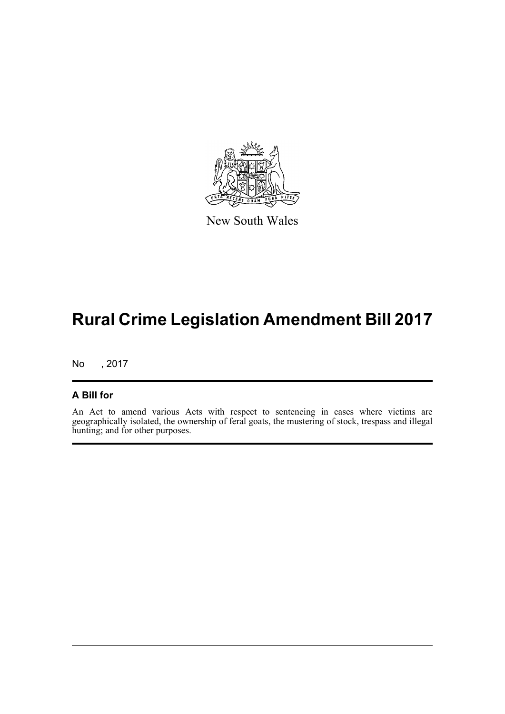

New South Wales

# **Rural Crime Legislation Amendment Bill 2017**

No , 2017

#### **A Bill for**

An Act to amend various Acts with respect to sentencing in cases where victims are geographically isolated, the ownership of feral goats, the mustering of stock, trespass and illegal hunting; and for other purposes.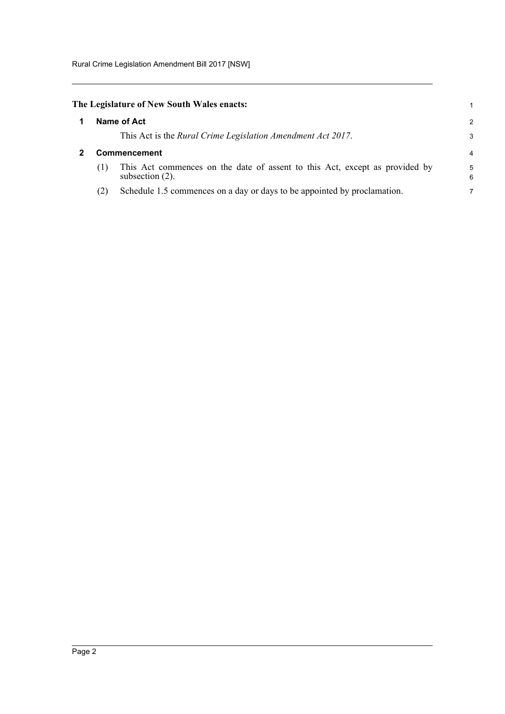<span id="page-5-0"></span>

<span id="page-5-1"></span>

| -1 | Name of Act<br>This Act is the Rural Crime Legislation Amendment Act 2017.<br><b>Commencement</b> |                                                                                                   |        |  |  |
|----|---------------------------------------------------------------------------------------------------|---------------------------------------------------------------------------------------------------|--------|--|--|
|    |                                                                                                   |                                                                                                   |        |  |  |
|    | (1)                                                                                               | This Act commences on the date of assent to this Act, except as provided by<br>subsection $(2)$ . | 5<br>6 |  |  |
|    | (2)                                                                                               | Schedule 1.5 commences on a day or days to be appointed by proclamation.                          |        |  |  |

1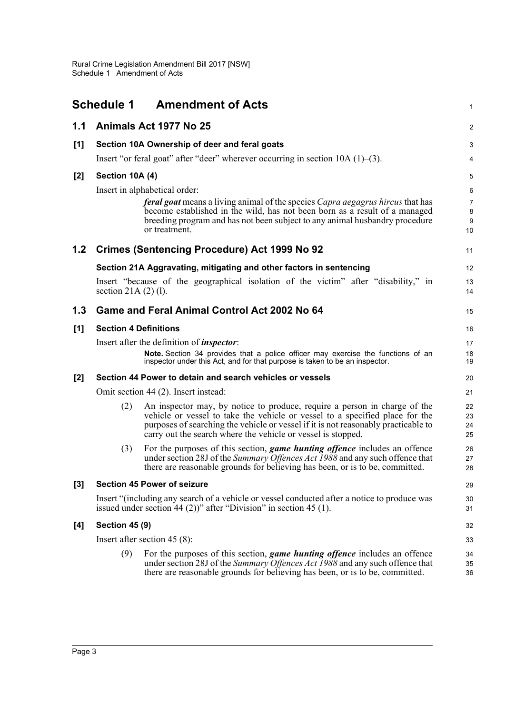<span id="page-6-0"></span>

|     | <b>Schedule 1</b>               | <b>Amendment of Acts</b>                                                                                                                                                                                                                                                                                        | 1                    |  |
|-----|---------------------------------|-----------------------------------------------------------------------------------------------------------------------------------------------------------------------------------------------------------------------------------------------------------------------------------------------------------------|----------------------|--|
| 1.1 |                                 | Animals Act 1977 No 25                                                                                                                                                                                                                                                                                          | $\overline{c}$       |  |
| [1] |                                 | Section 10A Ownership of deer and feral goats                                                                                                                                                                                                                                                                   | 3                    |  |
|     |                                 | Insert "or feral goat" after "deer" wherever occurring in section $10A(1)$ –(3).                                                                                                                                                                                                                                | 4                    |  |
| [2] | Section 10A (4)                 |                                                                                                                                                                                                                                                                                                                 | 5                    |  |
|     |                                 | Insert in alphabetical order:                                                                                                                                                                                                                                                                                   | 6                    |  |
|     |                                 | <b>feral goat</b> means a living animal of the species Capra aegagrus hircus that has<br>become established in the wild, has not been born as a result of a managed<br>breeding program and has not been subject to any animal husbandry procedure                                                              | 7<br>8<br>9          |  |
|     |                                 | or treatment.                                                                                                                                                                                                                                                                                                   | 10                   |  |
| 1.2 |                                 | <b>Crimes (Sentencing Procedure) Act 1999 No 92</b>                                                                                                                                                                                                                                                             | 11                   |  |
|     |                                 | Section 21A Aggravating, mitigating and other factors in sentencing                                                                                                                                                                                                                                             | 12                   |  |
|     | section $21A(2)(1)$ .           | Insert "because of the geographical isolation of the victim" after "disability," in                                                                                                                                                                                                                             | 13<br>14             |  |
| 1.3 |                                 | Game and Feral Animal Control Act 2002 No 64                                                                                                                                                                                                                                                                    | 15                   |  |
| [1] | <b>Section 4 Definitions</b>    |                                                                                                                                                                                                                                                                                                                 | 16                   |  |
|     |                                 | Insert after the definition of <i>inspector</i> :                                                                                                                                                                                                                                                               | 17                   |  |
|     |                                 | Note. Section 34 provides that a police officer may exercise the functions of an<br>inspector under this Act, and for that purpose is taken to be an inspector.                                                                                                                                                 | 18<br>19             |  |
| [2] |                                 | Section 44 Power to detain and search vehicles or vessels                                                                                                                                                                                                                                                       | 20                   |  |
|     |                                 | Omit section 44 (2). Insert instead:                                                                                                                                                                                                                                                                            | 21                   |  |
|     | (2)                             | An inspector may, by notice to produce, require a person in charge of the<br>vehicle or vessel to take the vehicle or vessel to a specified place for the<br>purposes of searching the vehicle or vessel if it is not reasonably practicable to<br>carry out the search where the vehicle or vessel is stopped. | 22<br>23<br>24<br>25 |  |
|     | (3)                             | For the purposes of this section, <i>game hunting offence</i> includes an offence<br>under section 28J of the Summary Offences Act 1988 and any such offence that<br>there are reasonable grounds for believing has been, or is to be, committed.                                                               | 26<br>27<br>28       |  |
| [3] |                                 | <b>Section 45 Power of seizure</b>                                                                                                                                                                                                                                                                              | 29                   |  |
|     |                                 | Insert "(including any search of a vehicle or vessel conducted after a notice to produce was<br>issued under section 44 (2))" after "Division" in section 45 (1).                                                                                                                                               | 30<br>31             |  |
| [4] | <b>Section 45 (9)</b>           |                                                                                                                                                                                                                                                                                                                 |                      |  |
|     | Insert after section 45 $(8)$ : |                                                                                                                                                                                                                                                                                                                 |                      |  |
|     | (9)                             | For the purposes of this section, <i>game hunting offence</i> includes an offence<br>under section 28J of the Summary Offences Act 1988 and any such offence that<br>there are reasonable grounds for believing has been, or is to be, committed.                                                               | 34<br>35<br>36       |  |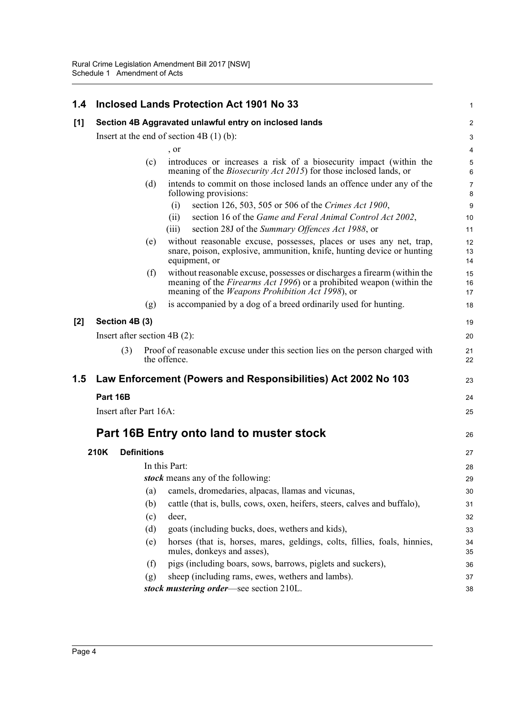| 1.4   |                                           |     |                    | <b>Inclosed Lands Protection Act 1901 No 33</b>                                                                                                                                                                      | 1                   |
|-------|-------------------------------------------|-----|--------------------|----------------------------------------------------------------------------------------------------------------------------------------------------------------------------------------------------------------------|---------------------|
| [1]   |                                           |     |                    | Section 4B Aggravated unlawful entry on inclosed lands                                                                                                                                                               | $\overline{2}$      |
|       | Insert at the end of section $4B(1)(b)$ : |     |                    |                                                                                                                                                                                                                      |                     |
|       |                                           |     |                    | , or                                                                                                                                                                                                                 | $\overline{4}$      |
|       |                                           |     | (c)                | introduces or increases a risk of a biosecurity impact (within the<br>meaning of the <i>Biosecurity Act 2015</i> ) for those inclosed lands, or                                                                      | $\mathbf 5$<br>6    |
|       |                                           |     | (d)                | intends to commit on those inclosed lands an offence under any of the<br>following provisions:                                                                                                                       | $\overline{7}$<br>8 |
|       |                                           |     |                    | (i)<br>section 126, 503, 505 or 506 of the Crimes Act 1900,                                                                                                                                                          | 9                   |
|       |                                           |     |                    | section 16 of the Game and Feral Animal Control Act 2002,<br>(ii)<br>section 28J of the Summary Offences Act 1988, or<br>(iii)                                                                                       | 10<br>11            |
|       |                                           |     | (e)                | without reasonable excuse, possesses, places or uses any net, trap,<br>snare, poison, explosive, ammunition, knife, hunting device or hunting<br>equipment, or                                                       | 12<br>13<br>14      |
|       |                                           |     | (f)                | without reasonable excuse, possesses or discharges a firearm (within the<br>meaning of the <i>Firearms Act 1996</i> ) or a prohibited weapon (within the<br>meaning of the <i>Weapons Prohibition Act 1998</i> ), or | 15<br>16<br>17      |
|       |                                           |     | (g)                | is accompanied by a dog of a breed ordinarily used for hunting.                                                                                                                                                      | 18                  |
| $[2]$ | Section 4B (3)                            |     |                    |                                                                                                                                                                                                                      |                     |
|       | Insert after section $4B(2)$ :            |     |                    |                                                                                                                                                                                                                      | 20                  |
|       |                                           | (3) |                    | Proof of reasonable excuse under this section lies on the person charged with<br>the offence.                                                                                                                        | 21<br>22            |
| 1.5   |                                           |     |                    | Law Enforcement (Powers and Responsibilities) Act 2002 No 103                                                                                                                                                        | 23                  |
|       | Part 16B                                  |     |                    |                                                                                                                                                                                                                      |                     |
|       | Insert after Part 16A:                    |     |                    |                                                                                                                                                                                                                      |                     |
|       | Part 16B Entry onto land to muster stock  |     |                    |                                                                                                                                                                                                                      |                     |
|       |                                           |     |                    |                                                                                                                                                                                                                      | 26                  |
|       | 210K                                      |     | <b>Definitions</b> |                                                                                                                                                                                                                      | 27                  |
|       |                                           |     |                    | In this Part:                                                                                                                                                                                                        | 28                  |
|       |                                           |     |                    | stock means any of the following:                                                                                                                                                                                    | 29                  |
|       |                                           |     | (a)                | camels, dromedaries, alpacas, llamas and vicunas,                                                                                                                                                                    | 30                  |
|       |                                           |     | (b)                | cattle (that is, bulls, cows, oxen, heifers, steers, calves and buffalo),                                                                                                                                            | 31                  |
|       |                                           |     | (c)                | deer,                                                                                                                                                                                                                | 32                  |
|       |                                           |     | (d)                | goats (including bucks, does, wethers and kids),                                                                                                                                                                     | 33                  |
|       |                                           |     | (e)                | horses (that is, horses, mares, geldings, colts, fillies, foals, hinnies,<br>mules, donkeys and asses),                                                                                                              | 34<br>35            |
|       |                                           |     | (f)                | pigs (including boars, sows, barrows, piglets and suckers),                                                                                                                                                          | 36                  |
|       |                                           |     | (g)                | sheep (including rams, ewes, wethers and lambs).                                                                                                                                                                     | 37                  |
|       |                                           |     |                    | stock mustering order-see section 210L.                                                                                                                                                                              | 38                  |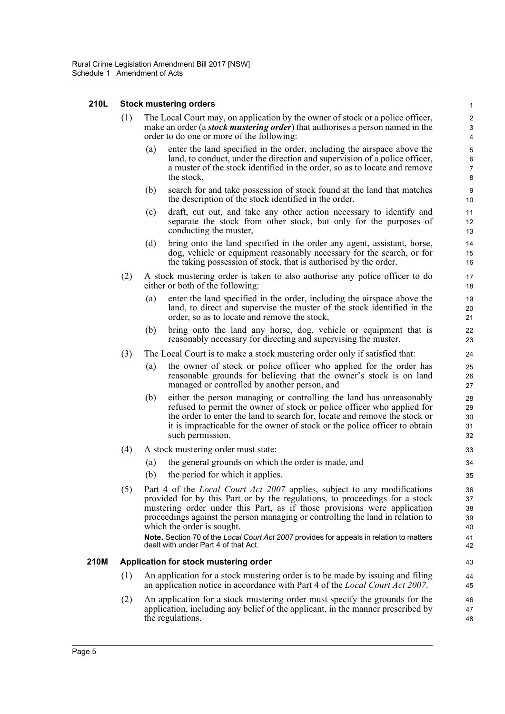#### **210L Stock mustering orders**

- (1) The Local Court may, on application by the owner of stock or a police officer, make an order (a *stock mustering order*) that authorises a person named in the order to do one or more of the following:
	- (a) enter the land specified in the order, including the airspace above the land, to conduct, under the direction and supervision of a police officer, a muster of the stock identified in the order, so as to locate and remove the stock,

- (b) search for and take possession of stock found at the land that matches the description of the stock identified in the order,
- (c) draft, cut out, and take any other action necessary to identify and separate the stock from other stock, but only for the purposes of conducting the muster,
- (d) bring onto the land specified in the order any agent, assistant, horse, dog, vehicle or equipment reasonably necessary for the search, or for the taking possession of stock, that is authorised by the order.
- (2) A stock mustering order is taken to also authorise any police officer to do either or both of the following:
	- (a) enter the land specified in the order, including the airspace above the land, to direct and supervise the muster of the stock identified in the order, so as to locate and remove the stock,
	- (b) bring onto the land any horse, dog, vehicle or equipment that is reasonably necessary for directing and supervising the muster.
- (3) The Local Court is to make a stock mustering order only if satisfied that:
	- (a) the owner of stock or police officer who applied for the order has reasonable grounds for believing that the owner's stock is on land managed or controlled by another person, and
	- (b) either the person managing or controlling the land has unreasonably refused to permit the owner of stock or police officer who applied for the order to enter the land to search for, locate and remove the stock or it is impracticable for the owner of stock or the police officer to obtain such permission.
- (4) A stock mustering order must state:
	- (a) the general grounds on which the order is made, and
	- (b) the period for which it applies.
- (5) Part 4 of the *Local Court Act 2007* applies, subject to any modifications provided for by this Part or by the regulations, to proceedings for a stock mustering order under this Part, as if those provisions were application proceedings against the person managing or controlling the land in relation to which the order is sought. **Note.** Section 70 of the *Local Court Act 2007* provides for appeals in relation to matters dealt with under Part 4 of that Act.

#### **210M Application for stock mustering order**

- (1) An application for a stock mustering order is to be made by issuing and filing an application notice in accordance with Part 4 of the *Local Court Act 2007*.
- (2) An application for a stock mustering order must specify the grounds for the application, including any belief of the applicant, in the manner prescribed by the regulations. 46 47 48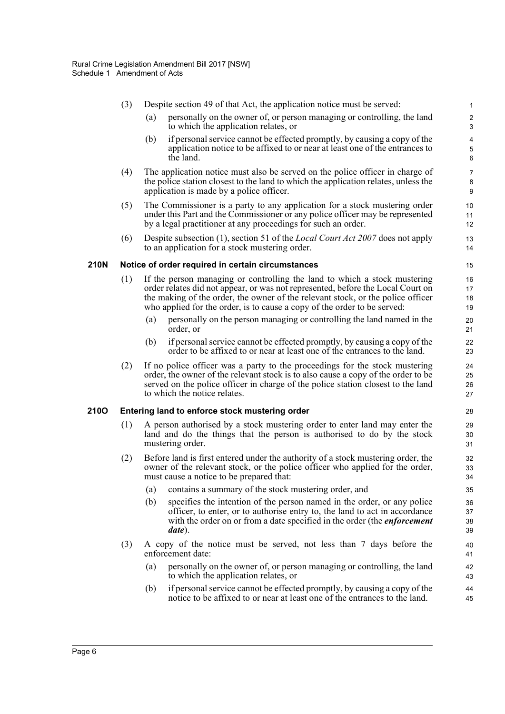|      | (3)                                                  |                                                                                                                                                                                                                                                                                      | Despite section 49 of that Act, the application notice must be served:                                                                                                                                                                                                                                                      | 1                                               |  |  |
|------|------------------------------------------------------|--------------------------------------------------------------------------------------------------------------------------------------------------------------------------------------------------------------------------------------------------------------------------------------|-----------------------------------------------------------------------------------------------------------------------------------------------------------------------------------------------------------------------------------------------------------------------------------------------------------------------------|-------------------------------------------------|--|--|
|      |                                                      | (a)                                                                                                                                                                                                                                                                                  | personally on the owner of, or person managing or controlling, the land<br>to which the application relates, or                                                                                                                                                                                                             | $\sqrt{2}$<br>3                                 |  |  |
|      |                                                      | (b)                                                                                                                                                                                                                                                                                  | if personal service cannot be effected promptly, by causing a copy of the<br>application notice to be affixed to or near at least one of the entrances to<br>the land.                                                                                                                                                      | $\overline{\mathbf{4}}$<br>$\,$ 5 $\,$<br>$\,6$ |  |  |
|      | (4)                                                  |                                                                                                                                                                                                                                                                                      | The application notice must also be served on the police officer in charge of<br>the police station closest to the land to which the application relates, unless the<br>application is made by a police officer.                                                                                                            | $\overline{7}$<br>8<br>9                        |  |  |
|      | (5)                                                  |                                                                                                                                                                                                                                                                                      | The Commissioner is a party to any application for a stock mustering order<br>under this Part and the Commissioner or any police officer may be represented<br>by a legal practitioner at any proceedings for such an order.                                                                                                | 10<br>11<br>12                                  |  |  |
|      | (6)                                                  |                                                                                                                                                                                                                                                                                      | Despite subsection (1), section 51 of the <i>Local Court Act 2007</i> does not apply<br>to an application for a stock mustering order.                                                                                                                                                                                      | 13<br>14                                        |  |  |
| 210N |                                                      |                                                                                                                                                                                                                                                                                      | Notice of order required in certain circumstances                                                                                                                                                                                                                                                                           | 15                                              |  |  |
|      | (1)                                                  |                                                                                                                                                                                                                                                                                      | If the person managing or controlling the land to which a stock mustering<br>order relates did not appear, or was not represented, before the Local Court on<br>the making of the order, the owner of the relevant stock, or the police officer<br>who applied for the order, is to cause a copy of the order to be served: | 16<br>17<br>18<br>19                            |  |  |
|      |                                                      | (a)                                                                                                                                                                                                                                                                                  | personally on the person managing or controlling the land named in the<br>order, or                                                                                                                                                                                                                                         | 20<br>21                                        |  |  |
|      |                                                      | (b)                                                                                                                                                                                                                                                                                  | if personal service cannot be effected promptly, by causing a copy of the<br>order to be affixed to or near at least one of the entrances to the land.                                                                                                                                                                      | 22<br>23                                        |  |  |
|      | (2)                                                  | If no police officer was a party to the proceedings for the stock mustering<br>order, the owner of the relevant stock is to also cause a copy of the order to be<br>served on the police officer in charge of the police station closest to the land<br>to which the notice relates. |                                                                                                                                                                                                                                                                                                                             | 24<br>25<br>26<br>27                            |  |  |
| 210O | Entering land to enforce stock mustering order<br>28 |                                                                                                                                                                                                                                                                                      |                                                                                                                                                                                                                                                                                                                             |                                                 |  |  |
|      | (1)                                                  | A person authorised by a stock mustering order to enter land may enter the<br>land and do the things that the person is authorised to do by the stock<br>mustering order.                                                                                                            |                                                                                                                                                                                                                                                                                                                             | 29<br>30<br>31                                  |  |  |
|      | (2)                                                  | Before land is first entered under the authority of a stock mustering order, the<br>owner of the relevant stock, or the police officer who applied for the order,<br>must cause a notice to be prepared that:                                                                        |                                                                                                                                                                                                                                                                                                                             | 32<br>33<br>34                                  |  |  |
|      |                                                      | (a)                                                                                                                                                                                                                                                                                  | contains a summary of the stock mustering order, and                                                                                                                                                                                                                                                                        | 35                                              |  |  |
|      |                                                      | (b)                                                                                                                                                                                                                                                                                  | specifies the intention of the person named in the order, or any police<br>officer, to enter, or to authorise entry to, the land to act in accordance<br>with the order on or from a date specified in the order (the <i>enforcement</i><br>date).                                                                          | 36<br>37<br>38<br>39                            |  |  |
|      | (3)                                                  |                                                                                                                                                                                                                                                                                      | A copy of the notice must be served, not less than 7 days before the<br>enforcement date:                                                                                                                                                                                                                                   | 40<br>41                                        |  |  |
|      |                                                      | (a)                                                                                                                                                                                                                                                                                  | personally on the owner of, or person managing or controlling, the land<br>to which the application relates, or                                                                                                                                                                                                             | 42<br>43                                        |  |  |
|      |                                                      | (b)                                                                                                                                                                                                                                                                                  | if personal service cannot be effected promptly, by causing a copy of the<br>notice to be affixed to or near at least one of the entrances to the land.                                                                                                                                                                     | 44<br>45                                        |  |  |
|      |                                                      |                                                                                                                                                                                                                                                                                      |                                                                                                                                                                                                                                                                                                                             |                                                 |  |  |